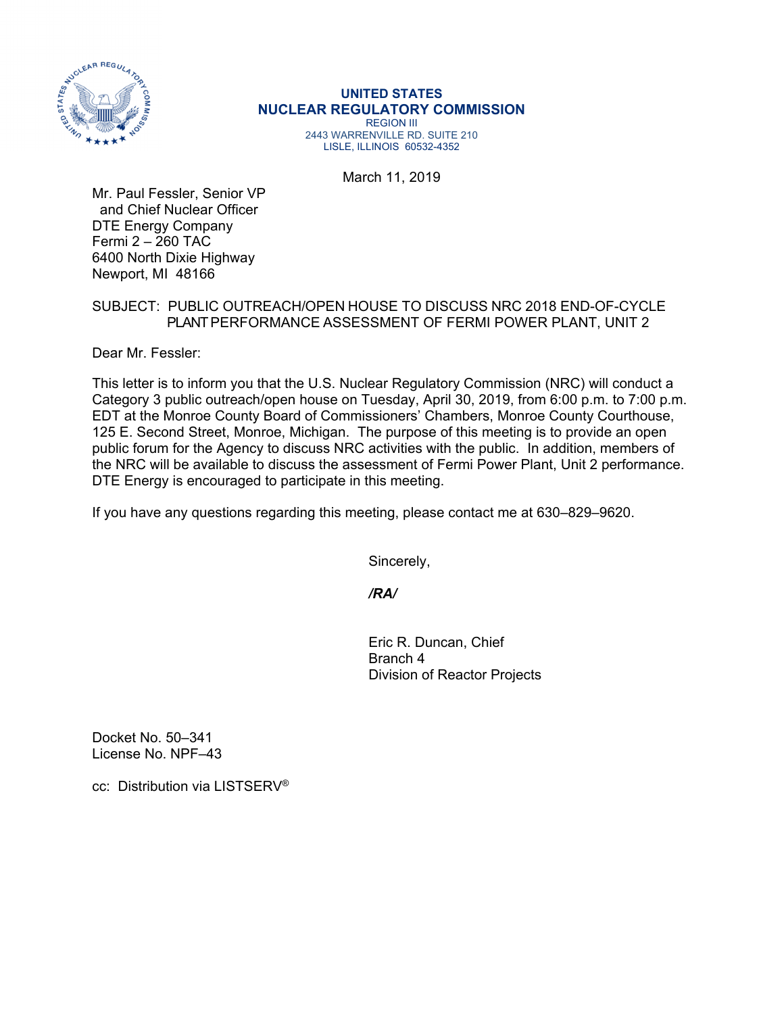

## **UNITED STATES NUCLEAR REGULATORY COMMISSION**  REGION III 2443 WARRENVILLE RD. SUITE 210 LISLE, ILLINOIS 60532-4352

March 11, 2019

Mr. Paul Fessler, Senior VP and Chief Nuclear Officer DTE Energy Company Fermi 2 – 260 TAC 6400 North Dixie Highway Newport, MI 48166

## SUBJECT: PUBLIC OUTREACH/OPEN HOUSE TO DISCUSS NRC 2018 END-OF-CYCLE PLANT PERFORMANCE ASSESSMENT OF FERMI POWER PLANT, UNIT 2

Dear Mr. Fessler:

This letter is to inform you that the U.S. Nuclear Regulatory Commission (NRC) will conduct a Category 3 public outreach/open house on Tuesday, April 30, 2019, from 6:00 p.m. to 7:00 p.m. EDT at the Monroe County Board of Commissioners' Chambers, Monroe County Courthouse, 125 E. Second Street, Monroe, Michigan. The purpose of this meeting is to provide an open public forum for the Agency to discuss NRC activities with the public. In addition, members of the NRC will be available to discuss the assessment of Fermi Power Plant, Unit 2 performance. DTE Energy is encouraged to participate in this meeting.

If you have any questions regarding this meeting, please contact me at 630–829–9620.

Sincerely,

 */RA/* 

Eric R. Duncan, Chief Branch 4 Division of Reactor Projects

Docket No. 50–341 License No. NPF–43

cc: Distribution via LISTSERV®